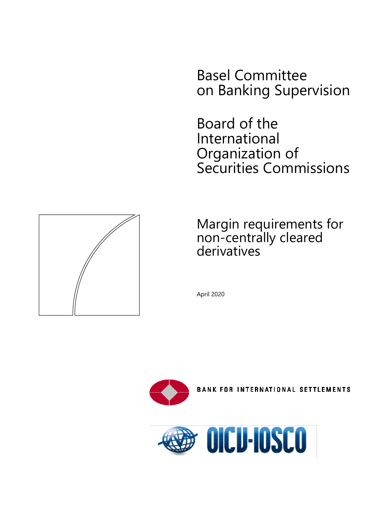Basel Committee on Banking Supervision

Board of the International Organization of Securities Commissions



Margin requirements for non-centrally cleared derivatives

April 2020



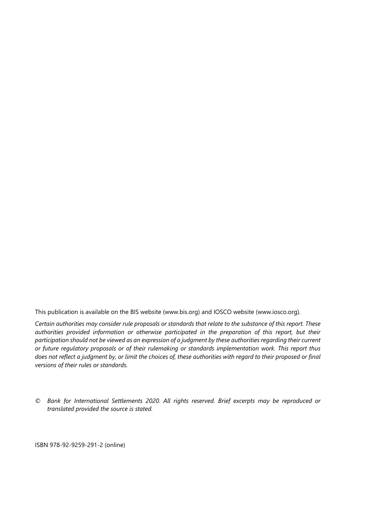This publication is available on the BIS website [\(www.bis.org\)](http://www.bis.org/) and IOSCO website [\(www.iosco.org\)](http://www.iosco.org/).

*Certain authorities may consider rule proposals or standards that relate to the substance of this report. These authorities provided information or otherwise participated in the preparation of this report, but their participation should not be viewed as an expression of a judgment by these authorities regarding their current or future regulatory proposals or of their rulemaking or standards implementation work. This report thus does not reflect a judgment by, or limit the choices of, these authorities with regard to their proposed or final versions of their rules or standards.*

*© Bank for International Settlements 2020. All rights reserved. Brief excerpts may be reproduced or translated provided the source is stated.*

ISBN 978-92-9259-291-2 (online)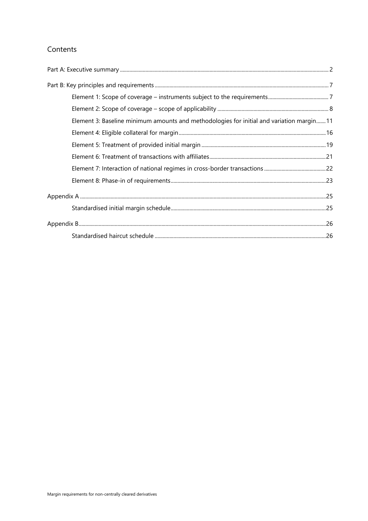## Contents

| Element 3: Baseline minimum amounts and methodologies for initial and variation margin 11 |  |
|-------------------------------------------------------------------------------------------|--|
|                                                                                           |  |
|                                                                                           |  |
|                                                                                           |  |
|                                                                                           |  |
|                                                                                           |  |
|                                                                                           |  |
|                                                                                           |  |
|                                                                                           |  |
|                                                                                           |  |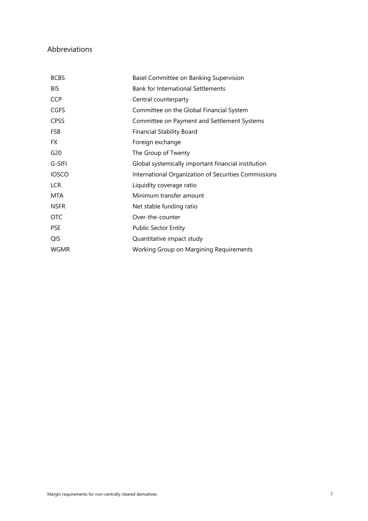## Abbreviations

| <b>BCBS</b>     | Basel Committee on Banking Supervision               |
|-----------------|------------------------------------------------------|
| <b>BIS</b>      | <b>Bank for International Settlements</b>            |
| <b>CCP</b>      | Central counterparty                                 |
| <b>CGFS</b>     | Committee on the Global Financial System             |
| <b>CPSS</b>     | Committee on Payment and Settlement Systems          |
| <b>FSB</b>      | <b>Financial Stability Board</b>                     |
| <b>FX</b>       | Foreign exchange                                     |
| G <sub>20</sub> | The Group of Twenty                                  |
| G-SIFI          | Global systemically important financial institution  |
| <b>IOSCO</b>    | International Organization of Securities Commissions |
| <b>LCR</b>      | Liquidity coverage ratio                             |
| <b>MTA</b>      | Minimum transfer amount                              |
| <b>NSFR</b>     | Net stable funding ratio                             |
| <b>OTC</b>      | Over-the-counter                                     |
| <b>PSE</b>      | <b>Public Sector Entity</b>                          |
| <b>QIS</b>      | Quantitative impact study                            |
| <b>WGMR</b>     | Working Group on Margining Requirements              |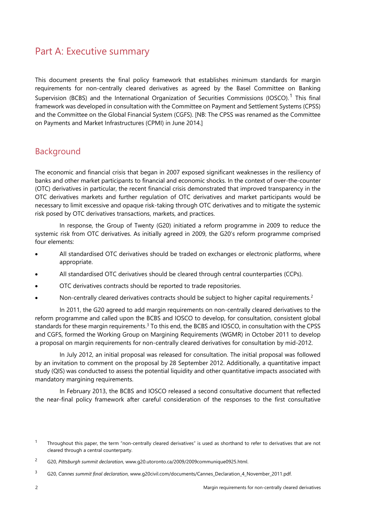# <span id="page-5-0"></span>Part A: Executive summary

This document presents the final policy framework that establishes minimum standards for margin requirements for non-centrally cleared derivatives as agreed by the Basel Committee on Banking Supervision (BCBS) and the International Organization of Securities Commissions (IOSCO).<sup>[1](#page-5-1)</sup> This final framework was developed in consultation with the Committee on Payment and Settlement Systems (CPSS) and the Committee on the Global Financial System (CGFS). [NB: The CPSS was renamed as the Committee on Payments and Market Infrastructures (CPMI) in June 2014.]

# Background

The economic and financial crisis that began in 2007 exposed significant weaknesses in the resiliency of banks and other market participants to financial and economic shocks. In the context of over-the-counter (OTC) derivatives in particular, the recent financial crisis demonstrated that improved transparency in the OTC derivatives markets and further regulation of OTC derivatives and market participants would be necessary to limit excessive and opaque risk-taking through OTC derivatives and to mitigate the systemic risk posed by OTC derivatives transactions, markets, and practices.

In response, the Group of Twenty (G20) initiated a reform programme in 2009 to reduce the systemic risk from OTC derivatives. As initially agreed in 2009, the G20's reform programme comprised four elements:

- All standardised OTC derivatives should be traded on exchanges or electronic platforms, where appropriate.
- All standardised OTC derivatives should be cleared through central counterparties (CCPs).
- OTC derivatives contracts should be reported to trade repositories.
- Non-centrally cleared derivatives contracts should be subject to higher capital requirements.<sup>[2](#page-5-2)</sup>

In 2011, the G20 agreed to add margin requirements on non-centrally cleared derivatives to the reform programme and called upon the BCBS and IOSCO to develop, for consultation, consistent global standards for these margin requirements.<sup>[3](#page-5-3)</sup> To this end, the BCBS and IOSCO, in consultation with the CPSS and CGFS, formed the Working Group on Margining Requirements (WGMR) in October 2011 to develop a proposal on margin requirements for non-centrally cleared derivatives for consultation by mid-2012.

In July 2012, an initial proposal was released for consultation. The initial proposal was followed by an invitation to comment on the proposal by 28 September 2012. Additionally, a quantitative impact study (QIS) was conducted to assess the potential liquidity and other quantitative impacts associated with mandatory margining requirements.

In February 2013, the BCBS and IOSCO released a second consultative document that reflected the near-final policy framework after careful consideration of the responses to the first consultative

<span id="page-5-1"></span><sup>&</sup>lt;sup>1</sup> Throughout this paper, the term "non-centrally cleared derivatives" is used as shorthand to refer to derivatives that are not cleared through a central counterparty.

<span id="page-5-2"></span><sup>2</sup> G20, *Pittsburgh summit declaration*, www.g20.utoronto.ca/2009/2009communique0925.html.

<span id="page-5-3"></span><sup>3</sup> G20, *Cannes summit final declaration*, www.g20civil.com/documents/Cannes\_Declaration\_4\_November\_2011.pdf.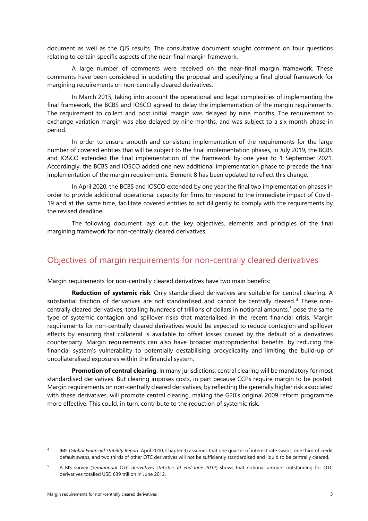document as well as the QIS results. The consultative document sought comment on four questions relating to certain specific aspects of the near-final margin framework.

A large number of comments were received on the near-final margin framework. These comments have been considered in updating the proposal and specifying a final global framework for margining requirements on non-centrally cleared derivatives.

In March 2015, taking into account the operational and legal complexities of implementing the final framework, the BCBS and IOSCO agreed to delay the implementation of the margin requirements. The requirement to collect and post initial margin was delayed by nine months. The requirement to exchange variation margin was also delayed by nine months, and was subject to a six month phase-in period.

In order to ensure smooth and consistent implementation of the requirements for the large number of covered entities that will be subject to the final implementation phases, in July 2019, the BCBS and IOSCO extended the final implementation of the framework by one year to 1 September 2021. Accordingly, the BCBS and IOSCO added one new additional implementation phase to precede the final implementation of the margin requirements. Element 8 has been updated to reflect this change.

In April 2020, the BCBS and IOSCO extended by one year the final two implementation phases in order to provide additional operational capacity for firms to respond to the immediate impact of Covid-19 and at the same time, facilitate covered entities to act diligently to comply with the requirements by the revised deadline.

The following document lays out the key objectives, elements and principles of the final margining framework for non-centrally cleared derivatives.

### Objectives of margin requirements for non-centrally cleared derivatives

Margin requirements for non-centrally cleared derivatives have two main benefits:

**Reduction of systemic risk**. Only standardised derivatives are suitable for central clearing. A substantial fraction of derivatives are not standardised and cannot be centrally cleared.<sup>[4](#page-6-0)</sup> These noncentrally cleared derivatives, totalling hundreds of trillions of dollars in notional amounts,[5](#page-6-1) pose the same type of systemic contagion and spillover risks that materialised in the recent financial crisis. Margin requirements for non-centrally cleared derivatives would be expected to reduce contagion and spillover effects by ensuring that collateral is available to offset losses caused by the default of a derivatives counterparty. Margin requirements can also have broader macroprudential benefits, by reducing the financial system's vulnerability to potentially destabilising procyclicality and limiting the build-up of uncollateralised exposures within the financial system.

**Promotion of central clearing**. In many jurisdictions, central clearing will be mandatory for most standardised derivatives. But clearing imposes costs, in part because CCPs require margin to be posted. Margin requirements on non-centrally cleared derivatives, by reflecting the generally higher risk associated with these derivatives, will promote central clearing, making the G20's original 2009 reform programme more effective. This could, in turn, contribute to the reduction of systemic risk.

<span id="page-6-0"></span><sup>4</sup> IMF (*Global Financial Stability Report*, April 2010, Chapter 3) assumes that one quarter of interest rate swaps, one third of credit default swaps, and two thirds of other OTC derivatives will not be sufficiently standardised and liquid to be centrally cleared.

<span id="page-6-1"></span><sup>5</sup> A BIS survey (*Semiannual OTC derivatives statistics at end-June 2012*) shows that notional amount outstanding for OTC derivatives totalled USD 639 trillion in June 2012.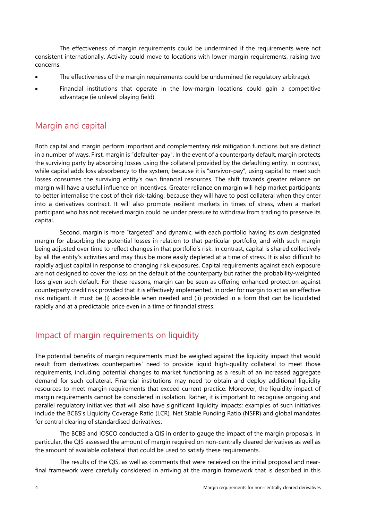The effectiveness of margin requirements could be undermined if the requirements were not consistent internationally. Activity could move to locations with lower margin requirements, raising two concerns:

- The effectiveness of the margin requirements could be undermined (ie regulatory arbitrage).
- Financial institutions that operate in the low-margin locations could gain a competitive advantage (ie unlevel playing field).

## Margin and capital

Both capital and margin perform important and complementary risk mitigation functions but are distinct in a number of ways. First, margin is "defaulter-pay". In the event of a counterparty default, margin protects the surviving party by absorbing losses using the collateral provided by the defaulting entity. In contrast, while capital adds loss absorbency to the system, because it is "survivor-pay", using capital to meet such losses consumes the surviving entity's own financial resources. The shift towards greater reliance on margin will have a useful influence on incentives. Greater reliance on margin will help market participants to better internalise the cost of their risk-taking, because they will have to post collateral when they enter into a derivatives contract. It will also promote resilient markets in times of stress, when a market participant who has not received margin could be under pressure to withdraw from trading to preserve its capital.

Second, margin is more "targeted" and dynamic, with each portfolio having its own designated margin for absorbing the potential losses in relation to that particular portfolio, and with such margin being adjusted over time to reflect changes in that portfolio's risk. In contrast, capital is shared collectively by all the entity's activities and may thus be more easily depleted at a time of stress. It is also difficult to rapidly adjust capital in response to changing risk exposures. Capital requirements against each exposure are not designed to cover the loss on the default of the counterparty but rather the probability-weighted loss given such default. For these reasons, margin can be seen as offering enhanced protection against counterparty credit risk provided that it is effectively implemented. In order for margin to act as an effective risk mitigant, it must be (i) accessible when needed and (ii) provided in a form that can be liquidated rapidly and at a predictable price even in a time of financial stress.

# Impact of margin requirements on liquidity

The potential benefits of margin requirements must be weighed against the liquidity impact that would result from derivatives counterparties' need to provide liquid high-quality collateral to meet those requirements, including potential changes to market functioning as a result of an increased aggregate demand for such collateral. Financial institutions may need to obtain and deploy additional liquidity resources to meet margin requirements that exceed current practice. Moreover, the liquidity impact of margin requirements cannot be considered in isolation. Rather, it is important to recognise ongoing and parallel regulatory initiatives that will also have significant liquidity impacts; examples of such initiatives include the BCBS's Liquidity Coverage Ratio (LCR), Net Stable Funding Ratio (NSFR) and global mandates for central clearing of standardised derivatives.

The BCBS and IOSCO conducted a QIS in order to gauge the impact of the margin proposals. In particular, the QIS assessed the amount of margin required on non-centrally cleared derivatives as well as the amount of available collateral that could be used to satisfy these requirements.

The results of the QIS, as well as comments that were received on the initial proposal and nearfinal framework were carefully considered in arriving at the margin framework that is described in this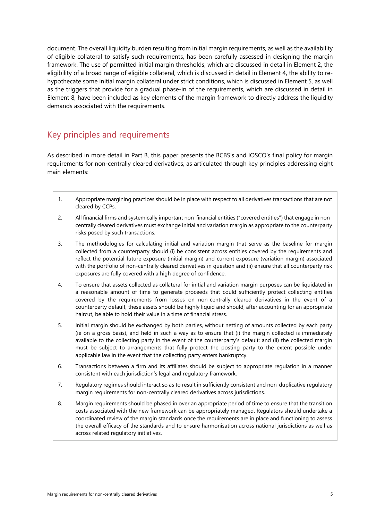document. The overall liquidity burden resulting from initial margin requirements, as well as the availability of eligible collateral to satisfy such requirements, has been carefully assessed in designing the margin framework. The use of permitted initial margin thresholds, which are discussed in detail in Element 2, the eligibility of a broad range of eligible collateral, which is discussed in detail in Element 4, the ability to rehypothecate some initial margin collateral under strict conditions, which is discussed in Element 5, as well as the triggers that provide for a gradual phase-in of the requirements, which are discussed in detail in Element 8, have been included as key elements of the margin framework to directly address the liquidity demands associated with the requirements.

# Key principles and requirements

As described in more detail in Part B, this paper presents the BCBS's and IOSCO's final policy for margin requirements for non-centrally cleared derivatives, as articulated through key principles addressing eight main elements:

- 1. Appropriate margining practices should be in place with respect to all derivatives transactions that are not cleared by CCPs.
- 2. All financial firms and systemically important non-financial entities ("covered entities") that engage in noncentrally cleared derivatives must exchange initial and variation margin as appropriate to the counterparty risks posed by such transactions.
- 3. The methodologies for calculating initial and variation margin that serve as the baseline for margin collected from a counterparty should (i) be consistent across entities covered by the requirements and reflect the potential future exposure (initial margin) and current exposure (variation margin) associated with the portfolio of non-centrally cleared derivatives in question and (ii) ensure that all counterparty risk exposures are fully covered with a high degree of confidence.
- 4. To ensure that assets collected as collateral for initial and variation margin purposes can be liquidated in a reasonable amount of time to generate proceeds that could sufficiently protect collecting entities covered by the requirements from losses on non-centrally cleared derivatives in the event of a counterparty default, these assets should be highly liquid and should, after accounting for an appropriate haircut, be able to hold their value in a time of financial stress.
- 5. Initial margin should be exchanged by both parties, without netting of amounts collected by each party (ie on a gross basis), and held in such a way as to ensure that (i) the margin collected is immediately available to the collecting party in the event of the counterparty's default; and (ii) the collected margin must be subject to arrangements that fully protect the posting party to the extent possible under applicable law in the event that the collecting party enters bankruptcy.
- 6. Transactions between a firm and its affiliates should be subject to appropriate regulation in a manner consistent with each jurisdiction's legal and regulatory framework.
- 7. Regulatory regimes should interact so as to result in sufficiently consistent and non-duplicative regulatory margin requirements for non-centrally cleared derivatives across jurisdictions.
- 8. Margin requirements should be phased in over an appropriate period of time to ensure that the transition costs associated with the new framework can be appropriately managed. Regulators should undertake a coordinated review of the margin standards once the requirements are in place and functioning to assess the overall efficacy of the standards and to ensure harmonisation across national jurisdictions as well as across related regulatory initiatives.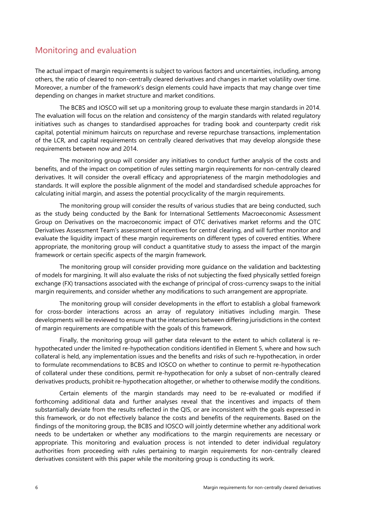# Monitoring and evaluation

The actual impact of margin requirements is subject to various factors and uncertainties, including, among others, the ratio of cleared to non-centrally cleared derivatives and changes in market volatility over time. Moreover, a number of the framework's design elements could have impacts that may change over time depending on changes in market structure and market conditions.

The BCBS and IOSCO will set up a monitoring group to evaluate these margin standards in 2014. The evaluation will focus on the relation and consistency of the margin standards with related regulatory initiatives such as changes to standardised approaches for trading book and counterparty credit risk capital, potential minimum haircuts on repurchase and reverse repurchase transactions, implementation of the LCR, and capital requirements on centrally cleared derivatives that may develop alongside these requirements between now and 2014.

The monitoring group will consider any initiatives to conduct further analysis of the costs and benefits, and of the impact on competition of rules setting margin requirements for non-centrally cleared derivatives. It will consider the overall efficacy and appropriateness of the margin methodologies and standards. It will explore the possible alignment of the model and standardised schedule approaches for calculating initial margin, and assess the potential procyclicality of the margin requirements.

The monitoring group will consider the results of various studies that are being conducted, such as the study being conducted by the Bank for International Settlements Macroeconomic Assessment Group on Derivatives on the macroeconomic impact of OTC derivatives market reforms and the OTC Derivatives Assessment Team's assessment of incentives for central clearing, and will further monitor and evaluate the liquidity impact of these margin requirements on different types of covered entities. Where appropriate, the monitoring group will conduct a quantitative study to assess the impact of the margin framework or certain specific aspects of the margin framework.

The monitoring group will consider providing more guidance on the validation and backtesting of models for margining. It will also evaluate the risks of not subjecting the fixed physically settled foreign exchange (FX) transactions associated with the exchange of principal of cross-currency swaps to the initial margin requirements, and consider whether any modifications to such arrangement are appropriate.

The monitoring group will consider developments in the effort to establish a global framework for cross-border interactions across an array of regulatory initiatives including margin. These developments will be reviewed to ensure that the interactions between differing jurisdictions in the context of margin requirements are compatible with the goals of this framework.

Finally, the monitoring group will gather data relevant to the extent to which collateral is rehypothecated under the limited re-hypothecation conditions identified in Element 5, where and how such collateral is held, any implementation issues and the benefits and risks of such re-hypothecation, in order to formulate recommendations to BCBS and IOSCO on whether to continue to permit re-hypothecation of collateral under these conditions, permit re-hypothecation for only a subset of non-centrally cleared derivatives products, prohibit re-hypothecation altogether, or whether to otherwise modify the conditions.

Certain elements of the margin standards may need to be re-evaluated or modified if forthcoming additional data and further analyses reveal that the incentives and impacts of them substantially deviate from the results reflected in the QIS, or are inconsistent with the goals expressed in this framework, or do not effectively balance the costs and benefits of the requirements. Based on the findings of the monitoring group, the BCBS and IOSCO will jointly determine whether any additional work needs to be undertaken or whether any modifications to the margin requirements are necessary or appropriate. This monitoring and evaluation process is not intended to deter individual regulatory authorities from proceeding with rules pertaining to margin requirements for non-centrally cleared derivatives consistent with this paper while the monitoring group is conducting its work.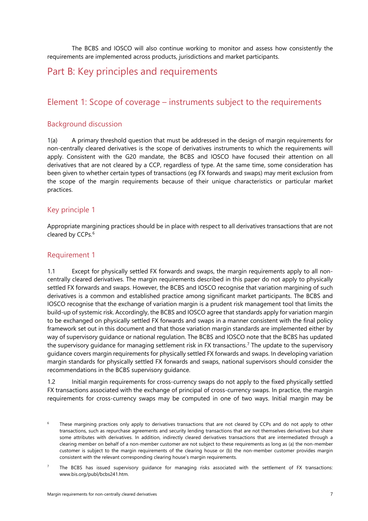The BCBS and IOSCO will also continue working to monitor and assess how consistently the requirements are implemented across products, jurisdictions and market participants.

# <span id="page-10-0"></span>Part B: Key principles and requirements

## <span id="page-10-1"></span>Element 1: Scope of coverage – instruments subject to the requirements

#### Background discussion

1(a) A primary threshold question that must be addressed in the design of margin requirements for non-centrally cleared derivatives is the scope of derivatives instruments to which the requirements will apply. Consistent with the G20 mandate, the BCBS and IOSCO have focused their attention on all derivatives that are not cleared by a CCP, regardless of type. At the same time, some consideration has been given to whether certain types of transactions (eg FX forwards and swaps) may merit exclusion from the scope of the margin requirements because of their unique characteristics or particular market practices.

#### Key principle 1

Appropriate margining practices should be in place with respect to all derivatives transactions that are not cleared by CCPs.<sup>[6](#page-10-2)</sup>

#### Requirement 1

1.1 Except for physically settled FX forwards and swaps, the margin requirements apply to all noncentrally cleared derivatives. The margin requirements described in this paper do not apply to physically settled FX forwards and swaps. However, the BCBS and IOSCO recognise that variation margining of such derivatives is a common and established practice among significant market participants. The BCBS and IOSCO recognise that the exchange of variation margin is a prudent risk management tool that limits the build-up of systemic risk. Accordingly, the BCBS and IOSCO agree that standards apply for variation margin to be exchanged on physically settled FX forwards and swaps in a manner consistent with the final policy framework set out in this document and that those variation margin standards are implemented either by way of supervisory guidance or national regulation. The BCBS and IOSCO note that the BCBS has updated the supervisory guidance for managing settlement risk in FX transactions.[7](#page-10-3) The update to the supervisory guidance covers margin requirements for physically settled FX forwards and swaps. In developing variation margin standards for physically settled FX forwards and swaps, national supervisors should consider the recommendations in the BCBS supervisory guidance.

1.2 Initial margin requirements for cross-currency swaps do not apply to the fixed physically settled FX transactions associated with the exchange of principal of cross-currency swaps. In practice, the margin requirements for cross-currency swaps may be computed in one of two ways. Initial margin may be

<span id="page-10-2"></span><sup>&</sup>lt;sup>6</sup> These margining practices only apply to derivatives transactions that are not cleared by CCPs and do not apply to other transactions, such as repurchase agreements and security lending transactions that are not themselves derivatives but share some attributes with derivatives. In addition, indirectly cleared derivatives transactions that are intermediated through a clearing member on behalf of a non-member customer are not subject to these requirements as long as (a) the non-member customer is subject to the margin requirements of the clearing house or (b) the non-member customer provides margin consistent with the relevant corresponding clearing house's margin requirements.

<span id="page-10-3"></span>The BCBS has issued supervisory guidance for managing risks associated with the settlement of FX transactions: [www.bis.org/publ/bcbs241.htm.](http://www.bis.org/publ/bcbs241.htm)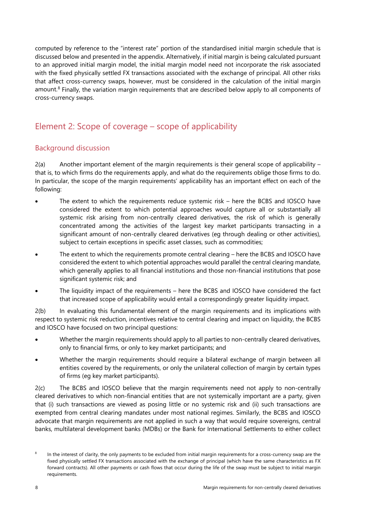computed by reference to the "interest rate" portion of the standardised initial margin schedule that is discussed below and presented in the appendix. Alternatively, if initial margin is being calculated pursuant to an approved initial margin model, the initial margin model need not incorporate the risk associated with the fixed physically settled FX transactions associated with the exchange of principal. All other risks that affect cross-currency swaps, however, must be considered in the calculation of the initial margin amount.<sup>[8](#page-11-1)</sup> Finally, the variation margin requirements that are described below apply to all components of cross-currency swaps.

# <span id="page-11-0"></span>Element 2: Scope of coverage – scope of applicability

#### Background discussion

2(a) Another important element of the margin requirements is their general scope of applicability – that is, to which firms do the requirements apply, and what do the requirements oblige those firms to do. In particular, the scope of the margin requirements' applicability has an important effect on each of the following:

- The extent to which the requirements reduce systemic risk here the BCBS and IOSCO have considered the extent to which potential approaches would capture all or substantially all systemic risk arising from non-centrally cleared derivatives, the risk of which is generally concentrated among the activities of the largest key market participants transacting in a significant amount of non-centrally cleared derivatives (eg through dealing or other activities), subject to certain exceptions in specific asset classes, such as commodities;
- The extent to which the requirements promote central clearing here the BCBS and IOSCO have considered the extent to which potential approaches would parallel the central clearing mandate, which generally applies to all financial institutions and those non-financial institutions that pose significant systemic risk; and
- The liquidity impact of the requirements here the BCBS and IOSCO have considered the fact that increased scope of applicability would entail a correspondingly greater liquidity impact.

2(b) In evaluating this fundamental element of the margin requirements and its implications with respect to systemic risk reduction, incentives relative to central clearing and impact on liquidity, the BCBS and IOSCO have focused on two principal questions:

- Whether the margin requirements should apply to all parties to non-centrally cleared derivatives, only to financial firms, or only to key market participants; and
- Whether the margin requirements should require a bilateral exchange of margin between all entities covered by the requirements, or only the unilateral collection of margin by certain types of firms (eg key market participants).

2(c) The BCBS and IOSCO believe that the margin requirements need not apply to non-centrally cleared derivatives to which non-financial entities that are not systemically important are a party, given that (i) such transactions are viewed as posing little or no systemic risk and (ii) such transactions are exempted from central clearing mandates under most national regimes. Similarly, the BCBS and IOSCO advocate that margin requirements are not applied in such a way that would require sovereigns, central banks, multilateral development banks (MDBs) or the Bank for International Settlements to either collect

<span id="page-11-1"></span><sup>&</sup>lt;sup>8</sup> In the interest of clarity, the only payments to be excluded from initial margin requirements for a cross-currency swap are the fixed physically settled FX transactions associated with the exchange of principal (which have the same characteristics as FX forward contracts). All other payments or cash flows that occur during the life of the swap must be subject to initial margin requirements.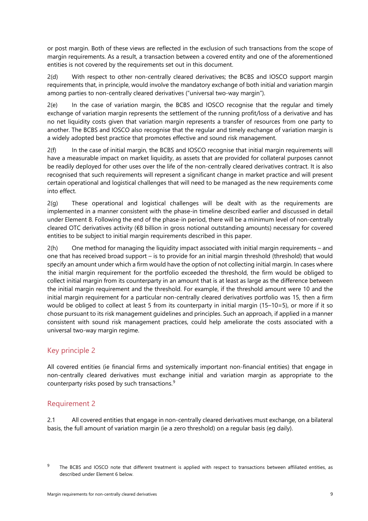or post margin. Both of these views are reflected in the exclusion of such transactions from the scope of margin requirements. As a result, a transaction between a covered entity and one of the aforementioned entities is not covered by the requirements set out in this document.

2(d) With respect to other non-centrally cleared derivatives; the BCBS and IOSCO support margin requirements that, in principle, would involve the mandatory exchange of both initial and variation margin among parties to non-centrally cleared derivatives ("universal two-way margin").

2(e) In the case of variation margin, the BCBS and IOSCO recognise that the regular and timely exchange of variation margin represents the settlement of the running profit/loss of a derivative and has no net liquidity costs given that variation margin represents a transfer of resources from one party to another. The BCBS and IOSCO also recognise that the regular and timely exchange of variation margin is a widely adopted best practice that promotes effective and sound risk management.

2(f) In the case of initial margin, the BCBS and IOSCO recognise that initial margin requirements will have a measurable impact on market liquidity, as assets that are provided for collateral purposes cannot be readily deployed for other uses over the life of the non-centrally cleared derivatives contract. It is also recognised that such requirements will represent a significant change in market practice and will present certain operational and logistical challenges that will need to be managed as the new requirements come into effect.

2(g) These operational and logistical challenges will be dealt with as the requirements are implemented in a manner consistent with the phase-in timeline described earlier and discussed in detail under Element 8. Following the end of the phase-in period, there will be a minimum level of non-centrally cleared OTC derivatives activity (€8 billion in gross notional outstanding amounts) necessary for covered entities to be subject to initial margin requirements described in this paper.

2(h) One method for managing the liquidity impact associated with initial margin requirements – and one that has received broad support – is to provide for an initial margin threshold (threshold) that would specify an amount under which a firm would have the option of not collecting initial margin. In cases where the initial margin requirement for the portfolio exceeded the threshold, the firm would be obliged to collect initial margin from its counterparty in an amount that is at least as large as the difference between the initial margin requirement and the threshold. For example, if the threshold amount were 10 and the initial margin requirement for a particular non-centrally cleared derivatives portfolio was 15, then a firm would be obliged to collect at least 5 from its counterparty in initial margin (15–10=5), or more if it so chose pursuant to its risk management guidelines and principles. Such an approach, if applied in a manner consistent with sound risk management practices, could help ameliorate the costs associated with a universal two-way margin regime.

#### Key principle 2

All covered entities (ie financial firms and systemically important non-financial entities) that engage in non-centrally cleared derivatives must exchange initial and variation margin as appropriate to the counterparty risks posed by such transactions.[9](#page-12-0)

#### Requirement 2

2.1 All covered entities that engage in non-centrally cleared derivatives must exchange, on a bilateral basis, the full amount of variation margin (ie a zero threshold) on a regular basis (eg daily).

<span id="page-12-0"></span><sup>&</sup>lt;sup>9</sup> The BCBS and IOSCO note that different treatment is applied with respect to transactions between affiliated entities, as described under Element 6 below.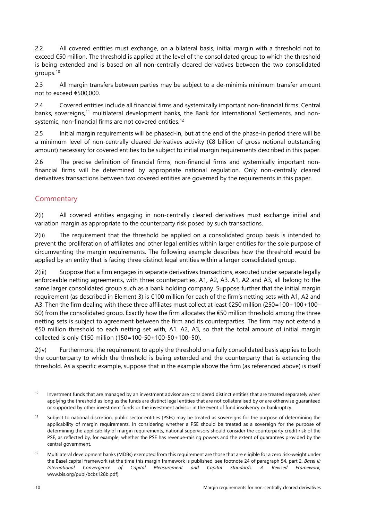2.2 All covered entities must exchange, on a bilateral basis, initial margin with a threshold not to exceed €50 million. The threshold is applied at the level of the consolidated group to which the threshold is being extended and is based on all non-centrally cleared derivatives between the two consolidated groups.[10](#page-13-0)

2.3 All margin transfers between parties may be subject to a de-minimis minimum transfer amount not to exceed €500,000.

2.4 Covered entities include all financial firms and systemically important non-financial firms. Central banks, sovereigns,<sup>[11](#page-13-1)</sup> multilateral development banks, the Bank for International Settlements, and non-systemic, non-financial firms are not covered entities.<sup>[12](#page-13-2)</sup>

2.5 Initial margin requirements will be phased-in, but at the end of the phase-in period there will be a minimum level of non-centrally cleared derivatives activity (€8 billion of gross notional outstanding amount) necessary for covered entities to be subject to initial margin requirements described in this paper.

2.6 The precise definition of financial firms, non-financial firms and systemically important nonfinancial firms will be determined by appropriate national regulation. Only non-centrally cleared derivatives transactions between two covered entities are governed by the requirements in this paper.

#### **Commentary**

2(i) All covered entities engaging in non-centrally cleared derivatives must exchange initial and variation margin as appropriate to the counterparty risk posed by such transactions.

2(ii) The requirement that the threshold be applied on a consolidated group basis is intended to prevent the proliferation of affiliates and other legal entities within larger entities for the sole purpose of circumventing the margin requirements. The following example describes how the threshold would be applied by an entity that is facing three distinct legal entities within a larger consolidated group.

2(iii) Suppose that a firm engages in separate derivatives transactions, executed under separate legally enforceable netting agreements, with three counterparties, A1, A2, A3. A1, A2 and A3, all belong to the same larger consolidated group such as a bank holding company. Suppose further that the initial margin requirement (as described in Element 3) is €100 million for each of the firm's netting sets with A1, A2 and A3. Then the firm dealing with these three affiliates must collect at least €250 million (250=100+100+100– 50) from the consolidated group. Exactly how the firm allocates the €50 million threshold among the three netting sets is subject to agreement between the firm and its counterparties. The firm may not extend a €50 million threshold to each netting set with, A1, A2, A3, so that the total amount of initial margin collected is only €150 million (150=100-50+100-50+100–50).

2(iv) Furthermore, the requirement to apply the threshold on a fully consolidated basis applies to both the counterparty to which the threshold is being extended and the counterparty that is extending the threshold. As a specific example, suppose that in the example above the firm (as referenced above) is itself

<span id="page-13-0"></span><sup>&</sup>lt;sup>10</sup> Investment funds that are managed by an investment advisor are considered distinct entities that are treated separately when applying the threshold as long as the funds are distinct legal entities that are not collateralised by or are otherwise guaranteed or supported by other investment funds or the investment advisor in the event of fund insolvency or bankruptcy.

<span id="page-13-1"></span><sup>&</sup>lt;sup>11</sup> Subject to national discretion, public sector entities (PSEs) may be treated as sovereigns for the purpose of determining the applicability of margin requirements. In considering whether a PSE should be treated as a sovereign for the purpose of determining the applicability of margin requirements, national supervisors should consider the counterparty credit risk of the PSE, as reflected by, for example, whether the PSE has revenue-raising powers and the extent of guarantees provided by the central government.

<span id="page-13-2"></span><sup>&</sup>lt;sup>12</sup> Multilateral development banks (MDBs) exempted from this requirement are those that are eligible for a zero risk-weight under the Basel capital framework (at the time this margin framework is published, see footnote 24 of paragraph 54, part 2, *Basel II: International Convergence of Capital Measurement and Capital Standards: A Revised Framework*, www.bis.org/publ/bcbs128b.pdf).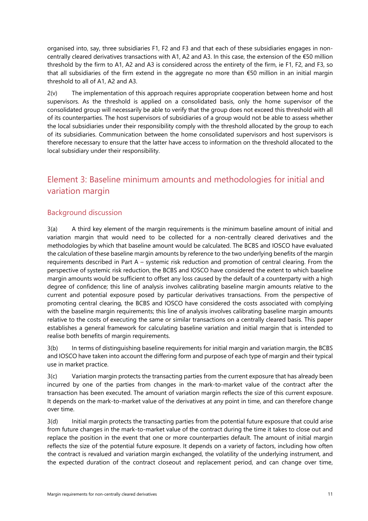organised into, say, three subsidiaries F1, F2 and F3 and that each of these subsidiaries engages in noncentrally cleared derivatives transactions with A1, A2 and A3. In this case, the extension of the €50 million threshold by the firm to A1, A2 and A3 is considered across the entirety of the firm, ie F1, F2, and F3, so that all subsidiaries of the firm extend in the aggregate no more than €50 million in an initial margin threshold to all of A1, A2 and A3.

2(v) The implementation of this approach requires appropriate cooperation between home and host supervisors. As the threshold is applied on a consolidated basis, only the home supervisor of the consolidated group will necessarily be able to verify that the group does not exceed this threshold with all of its counterparties. The host supervisors of subsidiaries of a group would not be able to assess whether the local subsidiaries under their responsibility comply with the threshold allocated by the group to each of its subsidiaries. Communication between the home consolidated supervisors and host supervisors is therefore necessary to ensure that the latter have access to information on the threshold allocated to the local subsidiary under their responsibility.

# <span id="page-14-0"></span>Element 3: Baseline minimum amounts and methodologies for initial and variation margin

#### Background discussion

3(a) A third key element of the margin requirements is the minimum baseline amount of initial and variation margin that would need to be collected for a non-centrally cleared derivatives and the methodologies by which that baseline amount would be calculated. The BCBS and IOSCO have evaluated the calculation of these baseline margin amounts by reference to the two underlying benefits of the margin requirements described in Part A – systemic risk reduction and promotion of central clearing. From the perspective of systemic risk reduction, the BCBS and IOSCO have considered the extent to which baseline margin amounts would be sufficient to offset any loss caused by the default of a counterparty with a high degree of confidence; this line of analysis involves calibrating baseline margin amounts relative to the current and potential exposure posed by particular derivatives transactions. From the perspective of promoting central clearing, the BCBS and IOSCO have considered the costs associated with complying with the baseline margin requirements; this line of analysis involves calibrating baseline margin amounts relative to the costs of executing the same or similar transactions on a centrally cleared basis. This paper establishes a general framework for calculating baseline variation and initial margin that is intended to realise both benefits of margin requirements.

3(b) In terms of distinguishing baseline requirements for initial margin and variation margin, the BCBS and IOSCO have taken into account the differing form and purpose of each type of margin and their typical use in market practice.

3(c) Variation margin protects the transacting parties from the current exposure that has already been incurred by one of the parties from changes in the mark-to-market value of the contract after the transaction has been executed. The amount of variation margin reflects the size of this current exposure. It depends on the mark-to-market value of the derivatives at any point in time, and can therefore change over time.

3(d) Initial margin protects the transacting parties from the potential future exposure that could arise from future changes in the mark-to-market value of the contract during the time it takes to close out and replace the position in the event that one or more counterparties default. The amount of initial margin reflects the size of the potential future exposure. It depends on a variety of factors, including how often the contract is revalued and variation margin exchanged, the volatility of the underlying instrument, and the expected duration of the contract closeout and replacement period, and can change over time,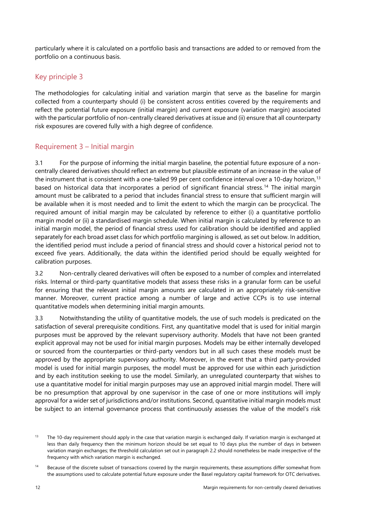particularly where it is calculated on a portfolio basis and transactions are added to or removed from the portfolio on a continuous basis.

### Key principle 3

The methodologies for calculating initial and variation margin that serve as the baseline for margin collected from a counterparty should (i) be consistent across entities covered by the requirements and reflect the potential future exposure (initial margin) and current exposure (variation margin) associated with the particular portfolio of non-centrally cleared derivatives at issue and (ii) ensure that all counterparty risk exposures are covered fully with a high degree of confidence.

#### Requirement 3 – Initial margin

3.1 For the purpose of informing the initial margin baseline, the potential future exposure of a noncentrally cleared derivatives should reflect an extreme but plausible estimate of an increase in the value of the instrument that is consistent with a one-tailed 99 per cent confidence interval over a 10-day horizon,<sup>[13](#page-15-0)</sup> based on historical data that incorporates a period of significant financial stress.[14](#page-15-1) The initial margin amount must be calibrated to a period that includes financial stress to ensure that sufficient margin will be available when it is most needed and to limit the extent to which the margin can be procyclical. The required amount of initial margin may be calculated by reference to either (i) a quantitative portfolio margin model or (ii) a standardised margin schedule. When initial margin is calculated by reference to an initial margin model, the period of financial stress used for calibration should be identified and applied separately for each broad asset class for which portfolio margining is allowed, as set out below. In addition, the identified period must include a period of financial stress and should cover a historical period not to exceed five years. Additionally, the data within the identified period should be equally weighted for calibration purposes.

3.2 Non-centrally cleared derivatives will often be exposed to a number of complex and interrelated risks. Internal or third-party quantitative models that assess these risks in a granular form can be useful for ensuring that the relevant initial margin amounts are calculated in an appropriately risk-sensitive manner. Moreover, current practice among a number of large and active CCPs is to use internal quantitative models when determining initial margin amounts.

3.3 Notwithstanding the utility of quantitative models, the use of such models is predicated on the satisfaction of several prerequisite conditions. First, any quantitative model that is used for initial margin purposes must be approved by the relevant supervisory authority. Models that have not been granted explicit approval may not be used for initial margin purposes. Models may be either internally developed or sourced from the counterparties or third-party vendors but in all such cases these models must be approved by the appropriate supervisory authority. Moreover, in the event that a third party-provided model is used for initial margin purposes, the model must be approved for use within each jurisdiction and by each institution seeking to use the model. Similarly, an unregulated counterparty that wishes to use a quantitative model for initial margin purposes may use an approved initial margin model. There will be no presumption that approval by one supervisor in the case of one or more institutions will imply approval for a wider set of jurisdictions and/or institutions. Second, quantitative initial margin models must be subject to an internal governance process that continuously assesses the value of the model's risk

<span id="page-15-0"></span><sup>&</sup>lt;sup>13</sup> The 10-day requirement should apply in the case that variation margin is exchanged daily. If variation margin is exchanged at less than daily frequency then the minimum horizon should be set equal to 10 days plus the number of days in between variation margin exchanges; the threshold calculation set out in paragraph 2.2 should nonetheless be made irrespective of the frequency with which variation margin is exchanged.

<span id="page-15-1"></span><sup>&</sup>lt;sup>14</sup> Because of the discrete subset of transactions covered by the margin requirements, these assumptions differ somewhat from the assumptions used to calculate potential future exposure under the Basel regulatory capital framework for OTC derivatives.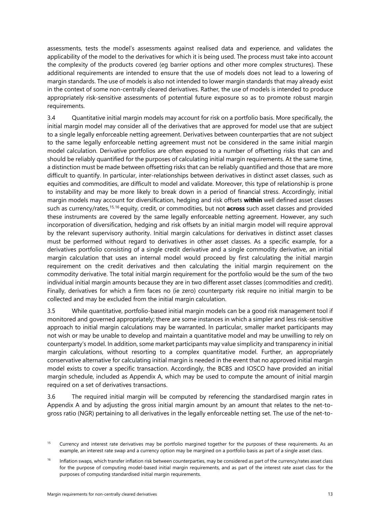assessments, tests the model's assessments against realised data and experience, and validates the applicability of the model to the derivatives for which it is being used. The process must take into account the complexity of the products covered (eg barrier options and other more complex structures). These additional requirements are intended to ensure that the use of models does not lead to a lowering of margin standards. The use of models is also not intended to lower margin standards that may already exist in the context of some non-centrally cleared derivatives. Rather, the use of models is intended to produce appropriately risk-sensitive assessments of potential future exposure so as to promote robust margin requirements.

3.4 Quantitative initial margin models may account for risk on a portfolio basis. More specifically, the initial margin model may consider all of the derivatives that are approved for model use that are subject to a single legally enforceable netting agreement. Derivatives between counterparties that are not subject to the same legally enforceable netting agreement must not be considered in the same initial margin model calculation. Derivative portfolios are often exposed to a number of offsetting risks that can and should be reliably quantified for the purposes of calculating initial margin requirements. At the same time, a distinction must be made between offsetting risks that can be reliably quantified and those that are more difficult to quantify. In particular, inter-relationships between derivatives in distinct asset classes, such as equities and commodities, are difficult to model and validate. Moreover, this type of relationship is prone to instability and may be more likely to break down in a period of financial stress. Accordingly, initial margin models may account for diversification, hedging and risk offsets **within** well defined asset classes such as currency/rates,<sup>[15](#page-16-0),[16](#page-16-1)</sup> equity, credit, or commodities, but not **across** such asset classes and provided these instruments are covered by the same legally enforceable netting agreement. However, any such incorporation of diversification, hedging and risk offsets by an initial margin model will require approval by the relevant supervisory authority. Initial margin calculations for derivatives in distinct asset classes must be performed without regard to derivatives in other asset classes. As a specific example, for a derivatives portfolio consisting of a single credit derivative and a single commodity derivative, an initial margin calculation that uses an internal model would proceed by first calculating the initial margin requirement on the credit derivatives and then calculating the initial margin requirement on the commodity derivative. The total initial margin requirement for the portfolio would be the sum of the two individual initial margin amounts because they are in two different asset classes (commodities and credit). Finally, derivatives for which a firm faces no (ie zero) counterparty risk require no initial margin to be collected and may be excluded from the initial margin calculation.

3.5 While quantitative, portfolio-based initial margin models can be a good risk management tool if monitored and governed appropriately; there are some instances in which a simpler and less risk-sensitive approach to initial margin calculations may be warranted. In particular, smaller market participants may not wish or may be unable to develop and maintain a quantitative model and may be unwilling to rely on counterparty's model. In addition, some market participants may value simplicity and transparency in initial margin calculations, without resorting to a complex quantitative model. Further, an appropriately conservative alternative for calculating initial margin is needed in the event that no approved initial margin model exists to cover a specific transaction. Accordingly, the BCBS and IOSCO have provided an initial margin schedule, included as Appendix A, which may be used to compute the amount of initial margin required on a set of derivatives transactions.

3.6 The required initial margin will be computed by referencing the standardised margin rates in Appendix A and by adjusting the gross initial margin amount by an amount that relates to the net-togross ratio (NGR) pertaining to all derivatives in the legally enforceable netting set. The use of the net-to-

<span id="page-16-0"></span><sup>&</sup>lt;sup>15</sup> Currency and interest rate derivatives may be portfolio margined together for the purposes of these requirements. As an example, an interest rate swap and a currency option may be margined on a portfolio basis as part of a single asset class.

<span id="page-16-1"></span><sup>&</sup>lt;sup>16</sup> Inflation swaps, which transfer inflation risk between counterparties, may be considered as part of the currency/rates asset class for the purpose of computing model-based initial margin requirements, and as part of the interest rate asset class for the purposes of computing standardised initial margin requirements.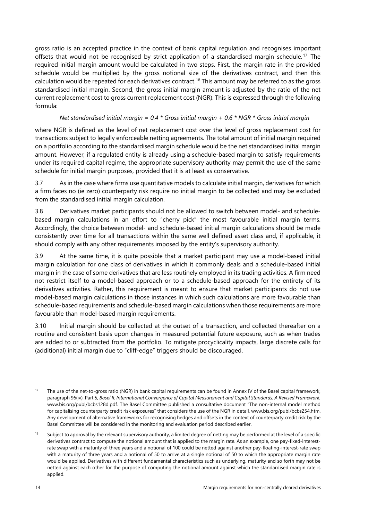gross ratio is an accepted practice in the context of bank capital regulation and recognises important offsets that would not be recognised by strict application of a standardised margin schedule.<sup>[17](#page-17-0)</sup> The required initial margin amount would be calculated in two steps. First, the margin rate in the provided schedule would be multiplied by the gross notional size of the derivatives contract, and then this calculation would be repeated for each derivatives contract.[18](#page-17-1) This amount may be referred to as the gross standardised initial margin. Second, the gross initial margin amount is adjusted by the ratio of the net current replacement cost to gross current replacement cost (NGR). This is expressed through the following formula:

#### *Net standardised initial margin = 0.4 \* Gross initial margin + 0.6 \* NGR \* Gross initial margin*

where NGR is defined as the level of net replacement cost over the level of gross replacement cost for transactions subject to legally enforceable netting agreements. The total amount of initial margin required on a portfolio according to the standardised margin schedule would be the net standardised initial margin amount. However, if a regulated entity is already using a schedule-based margin to satisfy requirements under its required capital regime, the appropriate supervisory authority may permit the use of the same schedule for initial margin purposes, provided that it is at least as conservative.

3.7 As in the case where firms use quantitative models to calculate initial margin, derivatives for which a firm faces no (ie zero) counterparty risk require no initial margin to be collected and may be excluded from the standardised initial margin calculation.

3.8 Derivatives market participants should not be allowed to switch between model- and schedulebased margin calculations in an effort to "cherry pick" the most favourable initial margin terms. Accordingly, the choice between model- and schedule-based initial margin calculations should be made consistently over time for all transactions within the same well defined asset class and, if applicable, it should comply with any other requirements imposed by the entity's supervisory authority.

3.9 At the same time, it is quite possible that a market participant may use a model-based initial margin calculation for one class of derivatives in which it commonly deals and a schedule-based initial margin in the case of some derivatives that are less routinely employed in its trading activities. A firm need not restrict itself to a model-based approach or to a schedule-based approach for the entirety of its derivatives activities. Rather, this requirement is meant to ensure that market participants do not use model-based margin calculations in those instances in which such calculations are more favourable than schedule-based requirements and schedule-based margin calculations when those requirements are more favourable than model-based margin requirements.

3.10 Initial margin should be collected at the outset of a transaction, and collected thereafter on a routine and consistent basis upon changes in measured potential future exposure, such as when trades are added to or subtracted from the portfolio. To mitigate procyclicality impacts, large discrete calls for (additional) initial margin due to "cliff-edge" triggers should be discouraged.

<span id="page-17-0"></span><sup>&</sup>lt;sup>17</sup> The use of the net-to-gross ratio (NGR) in bank capital requirements can be found in Annex IV of the Basel capital framework. paragraph 96(iv), Part 5, *Basel II: International Convergence of Capital Measurement and Capital Standards: A Revised Framework*, [www.bis.org/publ/bcbs128d.pdf.](file:///C:%5CUsers%5Cra002013%5CAppData%5CLocal%5CMicrosoft%5CWindows%5CTemporary%20Internet%20Files%5CContent.Outlook%5CUsers%5Cm1sdc01%5CAppData%5CLocal%5CMicrosoft%5CWindows%5CTemporary%20Internet%20Files%5CContent.Outlook%5CUsers%5Cra002013%5CAppData%5CLocal%5CMicrosoft%5CWindows%5CTemporary%20Internet%20Files%5CMyDocuments%5CDocumentum%5CTemp%5Cwww.bis.org%5Cpubl%5Cbcbs128d.pdf) The Basel Committee published a consultative document "The non-internal model method for capitalising counterparty credit risk exposures" that considers the use of the NGR in detail, www.bis.org/publ/bcbs254.htm. Any development of alternative frameworks for recognising hedges and offsets in the context of counterparty credit risk by the Basel Committee will be considered in the monitoring and evaluation period described earlier.

<span id="page-17-1"></span><sup>&</sup>lt;sup>18</sup> Subject to approval by the relevant supervisory authority, a limited degree of netting may be performed at the level of a specific derivatives contract to compute the notional amount that is applied to the margin rate. As an example, one pay-fixed-interestrate swap with a maturity of three years and a notional of 100 could be netted against another pay-floating-interest-rate swap with a maturity of three years and a notional of 50 to arrive at a single notional of 50 to which the appropriate margin rate would be applied. Derivatives with different fundamental characteristics such as underlying, maturity and so forth may not be netted against each other for the purpose of computing the notional amount against which the standardised margin rate is applied.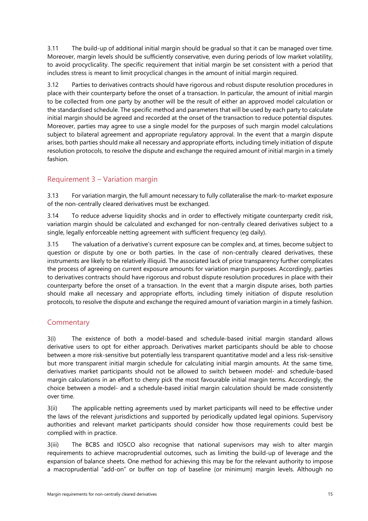3.11 The build-up of additional initial margin should be gradual so that it can be managed over time. Moreover, margin levels should be sufficiently conservative, even during periods of low market volatility, to avoid procyclicality. The specific requirement that initial margin be set consistent with a period that includes stress is meant to limit procyclical changes in the amount of initial margin required.

3.12 Parties to derivatives contracts should have rigorous and robust dispute resolution procedures in place with their counterparty before the onset of a transaction. In particular, the amount of initial margin to be collected from one party by another will be the result of either an approved model calculation or the standardised schedule. The specific method and parameters that will be used by each party to calculate initial margin should be agreed and recorded at the onset of the transaction to reduce potential disputes. Moreover, parties may agree to use a single model for the purposes of such margin model calculations subject to bilateral agreement and appropriate regulatory approval. In the event that a margin dispute arises, both parties should make all necessary and appropriate efforts, including timely initiation of dispute resolution protocols, to resolve the dispute and exchange the required amount of initial margin in a timely fashion.

#### Requirement 3 – Variation margin

3.13 For variation margin, the full amount necessary to fully collateralise the mark-to-market exposure of the non-centrally cleared derivatives must be exchanged.

3.14 To reduce adverse liquidity shocks and in order to effectively mitigate counterparty credit risk, variation margin should be calculated and exchanged for non-centrally cleared derivatives subject to a single, legally enforceable netting agreement with sufficient frequency (eg daily).

3.15 The valuation of a derivative's current exposure can be complex and, at times, become subject to question or dispute by one or both parties. In the case of non-centrally cleared derivatives, these instruments are likely to be relatively illiquid. The associated lack of price transparency further complicates the process of agreeing on current exposure amounts for variation margin purposes. Accordingly, parties to derivatives contracts should have rigorous and robust dispute resolution procedures in place with their counterparty before the onset of a transaction. In the event that a margin dispute arises, both parties should make all necessary and appropriate efforts, including timely initiation of dispute resolution protocols, to resolve the dispute and exchange the required amount of variation margin in a timely fashion.

#### **Commentary**

3(i) The existence of both a model-based and schedule-based initial margin standard allows derivative users to opt for either approach. Derivatives market participants should be able to choose between a more risk-sensitive but potentially less transparent quantitative model and a less risk-sensitive but more transparent initial margin schedule for calculating initial margin amounts. At the same time, derivatives market participants should not be allowed to switch between model- and schedule-based margin calculations in an effort to cherry pick the most favourable initial margin terms. Accordingly, the choice between a model- and a schedule-based initial margin calculation should be made consistently over time.

3(ii) The applicable netting agreements used by market participants will need to be effective under the laws of the relevant jurisdictions and supported by periodically updated legal opinions. Supervisory authorities and relevant market participants should consider how those requirements could best be complied with in practice.

3(iii) The BCBS and IOSCO also recognise that national supervisors may wish to alter margin requirements to achieve macroprudential outcomes, such as limiting the build-up of leverage and the expansion of balance sheets. One method for achieving this may be for the relevant authority to impose a macroprudential "add-on" or buffer on top of baseline (or minimum) margin levels. Although no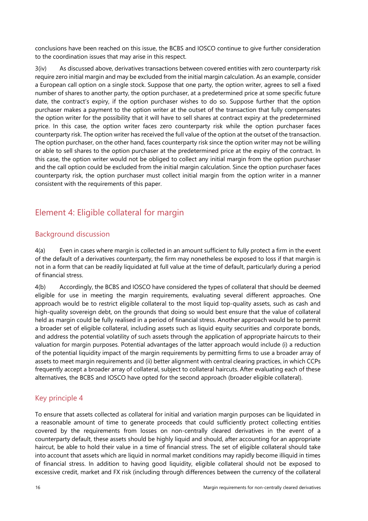conclusions have been reached on this issue, the BCBS and IOSCO continue to give further consideration to the coordination issues that may arise in this respect.

3(iv) As discussed above, derivatives transactions between covered entities with zero counterparty risk require zero initial margin and may be excluded from the initial margin calculation. As an example, consider a European call option on a single stock. Suppose that one party, the option writer, agrees to sell a fixed number of shares to another party, the option purchaser, at a predetermined price at some specific future date, the contract's expiry, if the option purchaser wishes to do so. Suppose further that the option purchaser makes a payment to the option writer at the outset of the transaction that fully compensates the option writer for the possibility that it will have to sell shares at contract expiry at the predetermined price. In this case, the option writer faces zero counterparty risk while the option purchaser faces counterparty risk. The option writer has received the full value of the option at the outset of the transaction. The option purchaser, on the other hand, faces counterparty risk since the option writer may not be willing or able to sell shares to the option purchaser at the predetermined price at the expiry of the contract. In this case, the option writer would not be obliged to collect any initial margin from the option purchaser and the call option could be excluded from the initial margin calculation. Since the option purchaser faces counterparty risk, the option purchaser must collect initial margin from the option writer in a manner consistent with the requirements of this paper.

# <span id="page-19-0"></span>Element 4: Eligible collateral for margin

#### Background discussion

4(a) Even in cases where margin is collected in an amount sufficient to fully protect a firm in the event of the default of a derivatives counterparty, the firm may nonetheless be exposed to loss if that margin is not in a form that can be readily liquidated at full value at the time of default, particularly during a period of financial stress.

4(b) Accordingly, the BCBS and IOSCO have considered the types of collateral that should be deemed eligible for use in meeting the margin requirements, evaluating several different approaches. One approach would be to restrict eligible collateral to the most liquid top-quality assets, such as cash and high-quality sovereign debt, on the grounds that doing so would best ensure that the value of collateral held as margin could be fully realised in a period of financial stress. Another approach would be to permit a broader set of eligible collateral, including assets such as liquid equity securities and corporate bonds, and address the potential volatility of such assets through the application of appropriate haircuts to their valuation for margin purposes. Potential advantages of the latter approach would include (i) a reduction of the potential liquidity impact of the margin requirements by permitting firms to use a broader array of assets to meet margin requirements and (ii) better alignment with central clearing practices, in which CCPs frequently accept a broader array of collateral, subject to collateral haircuts. After evaluating each of these alternatives, the BCBS and IOSCO have opted for the second approach (broader eligible collateral).

#### Key principle 4

To ensure that assets collected as collateral for initial and variation margin purposes can be liquidated in a reasonable amount of time to generate proceeds that could sufficiently protect collecting entities covered by the requirements from losses on non-centrally cleared derivatives in the event of a counterparty default, these assets should be highly liquid and should, after accounting for an appropriate haircut, be able to hold their value in a time of financial stress. The set of eligible collateral should take into account that assets which are liquid in normal market conditions may rapidly become illiquid in times of financial stress. In addition to having good liquidity, eligible collateral should not be exposed to excessive credit, market and FX risk (including through differences between the currency of the collateral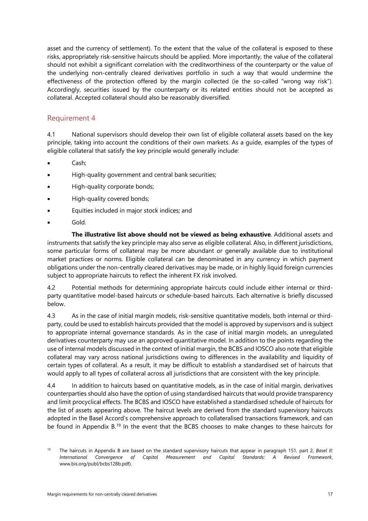asset and the currency of settlement). To the extent that the value of the collateral is exposed to these risks, appropriately risk-sensitive haircuts should be applied. More importantly, the value of the collateral should not exhibit a significant correlation with the creditworthiness of the counterparty or the value of the underlying non-centrally cleared derivatives portfolio in such a way that would undermine the effectiveness of the protection offered by the margin collected (ie the so-called "wrong way risk"). Accordingly, securities issued by the counterparty or its related entities should not be accepted as collateral. Accepted collateral should also be reasonably diversified.

#### Requirement 4

4.1 National supervisors should develop their own list of eligible collateral assets based on the key principle, taking into account the conditions of their own markets. As a guide, examples of the types of eligible collateral that satisfy the key principle would generally include:

- Cash;
- High-quality government and central bank securities;
- High-quality corporate bonds;
- High-quality covered bonds;
- Equities included in major stock indices; and
- Gold.

**The illustrative list above should not be viewed as being exhaustive**. Additional assets and instruments that satisfy the key principle may also serve as eligible collateral. Also, in different jurisdictions, some particular forms of collateral may be more abundant or generally available due to institutional market practices or norms. Eligible collateral can be denominated in any currency in which payment obligations under the non-centrally cleared derivatives may be made, or in highly liquid foreign currencies subject to appropriate haircuts to reflect the inherent FX risk involved.

4.2 Potential methods for determining appropriate haircuts could include either internal or thirdparty quantitative model-based haircuts or schedule-based haircuts. Each alternative is briefly discussed below.

4.3 As in the case of initial margin models, risk-sensitive quantitative models, both internal or thirdparty, could be used to establish haircuts provided that the model is approved by supervisors and is subject to appropriate internal governance standards. As in the case of initial margin models, an unregulated derivatives counterparty may use an approved quantitative model. In addition to the points regarding the use of internal models discussed in the context of initial margin, the BCBS and IOSCO also note that eligible collateral may vary across national jurisdictions owing to differences in the availability and liquidity of certain types of collateral. As a result, it may be difficult to establish a standardised set of haircuts that would apply to all types of collateral across all jurisdictions that are consistent with the key principle.

4.4 In addition to haircuts based on quantitative models, as in the case of initial margin, derivatives counterparties should also have the option of using standardised haircuts that would provide transparency and limit procyclical effects. The BCBS and IOSCO have established a standardised schedule of haircuts for the list of assets appearing above. The haircut levels are derived from the standard supervisory haircuts adopted in the Basel Accord's comprehensive approach to collateralised transactions framework, and can be found in Appendix B.<sup>[19](#page-20-0)</sup> In the event that the BCBS chooses to make changes to these haircuts for

<span id="page-20-0"></span><sup>19</sup> The haircuts in Appendix B are based on the standard supervisory haircuts that appear in paragraph 151, part 2, *Basel II: International Convergence of Capital Measurement and Capital Standards: A Revised Framework*, www.bis.org/publ/bcbs128b.pdf).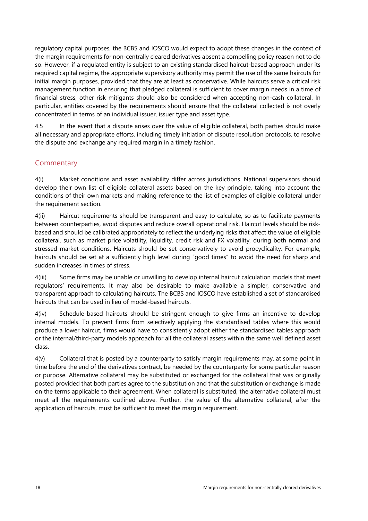regulatory capital purposes, the BCBS and IOSCO would expect to adopt these changes in the context of the margin requirements for non-centrally cleared derivatives absent a compelling policy reason not to do so. However, if a regulated entity is subject to an existing standardised haircut-based approach under its required capital regime, the appropriate supervisory authority may permit the use of the same haircuts for initial margin purposes, provided that they are at least as conservative. While haircuts serve a critical risk management function in ensuring that pledged collateral is sufficient to cover margin needs in a time of financial stress, other risk mitigants should also be considered when accepting non-cash collateral. In particular, entities covered by the requirements should ensure that the collateral collected is not overly concentrated in terms of an individual issuer, issuer type and asset type.

4.5 In the event that a dispute arises over the value of eligible collateral, both parties should make all necessary and appropriate efforts, including timely initiation of dispute resolution protocols, to resolve the dispute and exchange any required margin in a timely fashion.

#### **Commentary**

4(i) Market conditions and asset availability differ across jurisdictions. National supervisors should develop their own list of eligible collateral assets based on the key principle, taking into account the conditions of their own markets and making reference to the list of examples of eligible collateral under the requirement section.

4(ii) Haircut requirements should be transparent and easy to calculate, so as to facilitate payments between counterparties, avoid disputes and reduce overall operational risk. Haircut levels should be riskbased and should be calibrated appropriately to reflect the underlying risks that affect the value of eligible collateral, such as market price volatility, liquidity, credit risk and FX volatility, during both normal and stressed market conditions. Haircuts should be set conservatively to avoid procyclicality. For example, haircuts should be set at a sufficiently high level during "good times" to avoid the need for sharp and sudden increases in times of stress.

4(iii) Some firms may be unable or unwilling to develop internal haircut calculation models that meet regulators' requirements. It may also be desirable to make available a simpler, conservative and transparent approach to calculating haircuts. The BCBS and IOSCO have established a set of standardised haircuts that can be used in lieu of model-based haircuts.

4(iv) Schedule-based haircuts should be stringent enough to give firms an incentive to develop internal models. To prevent firms from selectively applying the standardised tables where this would produce a lower haircut, firms would have to consistently adopt either the standardised tables approach or the internal/third-party models approach for all the collateral assets within the same well defined asset class.

4(v) Collateral that is posted by a counterparty to satisfy margin requirements may, at some point in time before the end of the derivatives contract, be needed by the counterparty for some particular reason or purpose. Alternative collateral may be substituted or exchanged for the collateral that was originally posted provided that both parties agree to the substitution and that the substitution or exchange is made on the terms applicable to their agreement. When collateral is substituted, the alternative collateral must meet all the requirements outlined above. Further, the value of the alternative collateral, after the application of haircuts, must be sufficient to meet the margin requirement.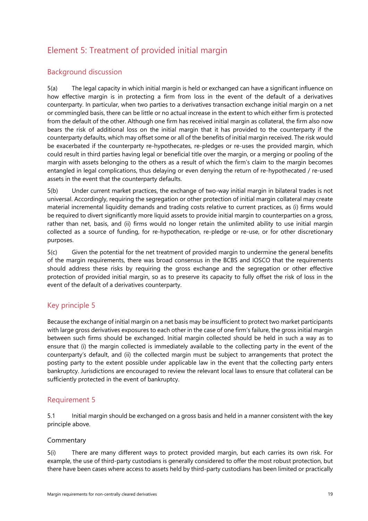# <span id="page-22-0"></span>Element 5: Treatment of provided initial margin

#### Background discussion

5(a) The legal capacity in which initial margin is held or exchanged can have a significant influence on how effective margin is in protecting a firm from loss in the event of the default of a derivatives counterparty. In particular, when two parties to a derivatives transaction exchange initial margin on a net or commingled basis, there can be little or no actual increase in the extent to which either firm is protected from the default of the other. Although one firm has received initial margin as collateral, the firm also now bears the risk of additional loss on the initial margin that it has provided to the counterparty if the counterparty defaults, which may offset some or all of the benefits of initial margin received. The risk would be exacerbated if the counterparty re-hypothecates, re-pledges or re-uses the provided margin, which could result in third parties having legal or beneficial title over the margin, or a merging or pooling of the margin with assets belonging to the others as a result of which the firm's claim to the margin becomes entangled in legal complications, thus delaying or even denying the return of re-hypothecated / re-used assets in the event that the counterparty defaults.

5(b) Under current market practices, the exchange of two-way initial margin in bilateral trades is not universal. Accordingly, requiring the segregation or other protection of initial margin collateral may create material incremental liquidity demands and trading costs relative to current practices, as (i) firms would be required to divert significantly more liquid assets to provide initial margin to counterparties on a gross, rather than net, basis, and (ii) firms would no longer retain the unlimited ability to use initial margin collected as a source of funding, for re-hypothecation, re-pledge or re-use, or for other discretionary purposes.

5(c) Given the potential for the net treatment of provided margin to undermine the general benefits of the margin requirements, there was broad consensus in the BCBS and IOSCO that the requirements should address these risks by requiring the gross exchange and the segregation or other effective protection of provided initial margin, so as to preserve its capacity to fully offset the risk of loss in the event of the default of a derivatives counterparty.

#### Key principle 5

Because the exchange of initial margin on a net basis may be insufficient to protect two market participants with large gross derivatives exposures to each other in the case of one firm's failure, the gross initial margin between such firms should be exchanged. Initial margin collected should be held in such a way as to ensure that (i) the margin collected is immediately available to the collecting party in the event of the counterparty's default, and (ii) the collected margin must be subject to arrangements that protect the posting party to the extent possible under applicable law in the event that the collecting party enters bankruptcy. Jurisdictions are encouraged to review the relevant local laws to ensure that collateral can be sufficiently protected in the event of bankruptcy.

#### Requirement 5

5.1 Initial margin should be exchanged on a gross basis and held in a manner consistent with the key principle above.

#### **Commentary**

5(i) There are many different ways to protect provided margin, but each carries its own risk. For example, the use of third-party custodians is generally considered to offer the most robust protection, but there have been cases where access to assets held by third-party custodians has been limited or practically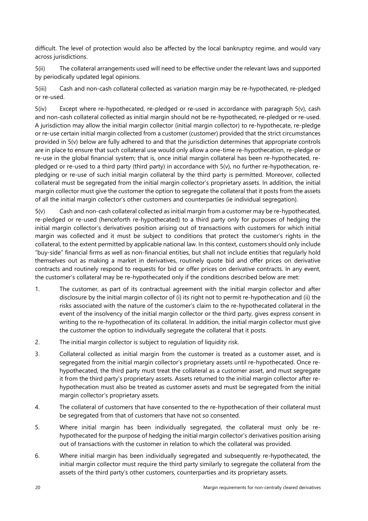difficult. The level of protection would also be affected by the local bankruptcy regime, and would vary across jurisdictions.

5(ii) The collateral arrangements used will need to be effective under the relevant laws and supported by periodically updated legal opinions.

5(iii) Cash and non-cash collateral collected as variation margin may be re-hypothecated, re-pledged or re-used.

5(iv) Except where re-hypothecated, re-pledged or re-used in accordance with paragraph 5(v), cash and non-cash collateral collected as initial margin should not be re-hypothecated, re-pledged or re-used. A jurisdiction may allow the initial margin collector (initial margin collector) to re-hypothecate, re-pledge or re-use certain initial margin collected from a customer (customer) provided that the strict circumstances provided in 5(v) below are fully adhered to and that the jurisdiction determines that appropriate controls are in place to ensure that such collateral use would only allow a one-time re-hypothecation, re-pledge or re-use in the global financial system; that is, once initial margin collateral has been re-hypothecated, repledged or re-used to a third party (third party) in accordance with 5(v), no further re-hypothecation, repledging or re-use of such initial margin collateral by the third party is permitted. Moreover, collected collateral must be segregated from the initial margin collector's proprietary assets. In addition, the initial margin collector must give the customer the option to segregate the collateral that it posts from the assets of all the initial margin collector's other customers and counterparties (ie individual segregation).

5(v) Cash and non-cash collateral collected as initial margin from a customer may be re-hypothecated, re-pledged or re-used (henceforth re-hypothecated) to a third party only for purposes of hedging the initial margin collector's derivatives position arising out of transactions with customers for which initial margin was collected and it must be subject to conditions that protect the customer's rights in the collateral, to the extent permitted by applicable national law. In this context, customers should only include "buy-side" financial firms as well as non-financial entities, but shall not include entities that regularly hold themselves out as making a market in derivatives, routinely quote bid and offer prices on derivative contracts and routinely respond to requests for bid or offer prices on derivative contracts. In any event, the customer's collateral may be re-hypothecated only if the conditions described below are met:

- 1. The customer, as part of its contractual agreement with the initial margin collector and after disclosure by the initial margin collector of (i) its right not to permit re-hypothecation and (ii) the risks associated with the nature of the customer's claim to the re-hypothecated collateral in the event of the insolvency of the initial margin collector or the third party, gives express consent in writing to the re-hypothecation of its collateral. In addition, the initial margin collector must give the customer the option to individually segregate the collateral that it posts.
- 2. The initial margin collector is subject to regulation of liquidity risk.
- 3. Collateral collected as initial margin from the customer is treated as a customer asset, and is segregated from the initial margin collector's proprietary assets until re-hypothecated. Once rehypothecated, the third party must treat the collateral as a customer asset, and must segregate it from the third party's proprietary assets. Assets returned to the initial margin collector after rehypothecation must also be treated as customer assets and must be segregated from the initial margin collector's proprietary assets.
- 4. The collateral of customers that have consented to the re-hypothecation of their collateral must be segregated from that of customers that have not so consented.
- 5. Where initial margin has been individually segregated, the collateral must only be rehypothecated for the purpose of hedging the initial margin collector's derivatives position arising out of transactions with the customer in relation to which the collateral was provided.
- 6. Where initial margin has been individually segregated and subsequently re-hypothecated, the initial margin collector must require the third party similarly to segregate the collateral from the assets of the third party's other customers, counterparties and its proprietary assets.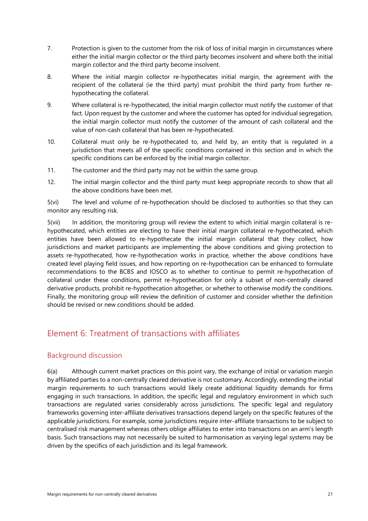- 7. Protection is given to the customer from the risk of loss of initial margin in circumstances where either the initial margin collector or the third party becomes insolvent and where both the initial margin collector and the third party become insolvent.
- 8. Where the initial margin collector re-hypothecates initial margin, the agreement with the recipient of the collateral (ie the third party) must prohibit the third party from further rehypothecating the collateral.
- 9. Where collateral is re-hypothecated, the initial margin collector must notify the customer of that fact. Upon request by the customer and where the customer has opted for individual segregation, the initial margin collector must notify the customer of the amount of cash collateral and the value of non-cash collateral that has been re-hypothecated.
- 10. Collateral must only be re-hypothecated to, and held by, an entity that is regulated in a jurisdiction that meets all of the specific conditions contained in this section and in which the specific conditions can be enforced by the initial margin collector.
- 11. The customer and the third party may not be within the same group.
- 12. The initial margin collector and the third party must keep appropriate records to show that all the above conditions have been met.

5(vi) The level and volume of re-hypothecation should be disclosed to authorities so that they can monitor any resulting risk.

5(vii) In addition, the monitoring group will review the extent to which initial margin collateral is rehypothecated, which entities are electing to have their initial margin collateral re-hypothecated, which entities have been allowed to re-hypothecate the initial margin collateral that they collect, how jurisdictions and market participants are implementing the above conditions and giving protection to assets re-hypothecated, how re-hypothecation works in practice, whether the above conditions have created level playing field issues, and how reporting on re-hypothecation can be enhanced to formulate recommendations to the BCBS and IOSCO as to whether to continue to permit re-hypothecation of collateral under these conditions, permit re-hypothecation for only a subset of non-centrally cleared derivative products, prohibit re-hypothecation altogether, or whether to otherwise modify the conditions. Finally, the monitoring group will review the definition of customer and consider whether the definition should be revised or new conditions should be added.

## <span id="page-24-0"></span>Element 6: Treatment of transactions with affiliates

#### Background discussion

6(a) Although current market practices on this point vary, the exchange of initial or variation margin by affiliated parties to a non-centrally cleared derivative is not customary. Accordingly, extending the initial margin requirements to such transactions would likely create additional liquidity demands for firms engaging in such transactions. In addition, the specific legal and regulatory environment in which such transactions are regulated varies considerably across jurisdictions. The specific legal and regulatory frameworks governing inter-affiliate derivatives transactions depend largely on the specific features of the applicable jurisdictions. For example, some jurisdictions require inter-affiliate transactions to be subject to centralised risk management whereas others oblige affiliates to enter into transactions on an arm's length basis. Such transactions may not necessarily be suited to harmonisation as varying legal systems may be driven by the specifics of each jurisdiction and its legal framework.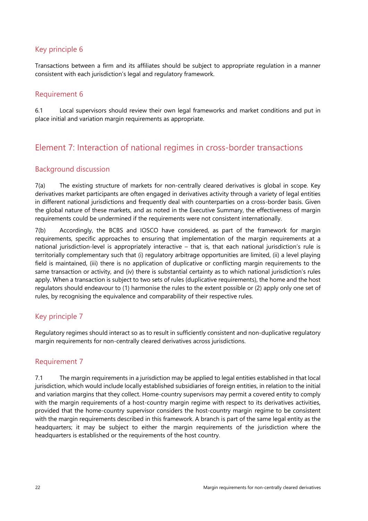#### Key principle 6

Transactions between a firm and its affiliates should be subject to appropriate regulation in a manner consistent with each jurisdiction's legal and regulatory framework.

#### Requirement 6

6.1 Local supervisors should review their own legal frameworks and market conditions and put in place initial and variation margin requirements as appropriate.

# <span id="page-25-0"></span>Element 7: Interaction of national regimes in cross-border transactions

#### Background discussion

7(a) The existing structure of markets for non-centrally cleared derivatives is global in scope. Key derivatives market participants are often engaged in derivatives activity through a variety of legal entities in different national jurisdictions and frequently deal with counterparties on a cross-border basis. Given the global nature of these markets, and as noted in the Executive Summary, the effectiveness of margin requirements could be undermined if the requirements were not consistent internationally.

7(b) Accordingly, the BCBS and IOSCO have considered, as part of the framework for margin requirements, specific approaches to ensuring that implementation of the margin requirements at a national jurisdiction-level is appropriately interactive – that is, that each national jurisdiction's rule is territorially complementary such that (i) regulatory arbitrage opportunities are limited, (ii) a level playing field is maintained, (iii) there is no application of duplicative or conflicting margin requirements to the same transaction or activity, and (iv) there is substantial certainty as to which national jurisdiction's rules apply. When a transaction is subject to two sets of rules (duplicative requirements), the home and the host regulators should endeavour to (1) harmonise the rules to the extent possible or (2) apply only one set of rules, by recognising the equivalence and comparability of their respective rules.

### Key principle 7

Regulatory regimes should interact so as to result in sufficiently consistent and non-duplicative regulatory margin requirements for non-centrally cleared derivatives across jurisdictions.

#### Requirement 7

7.1 The margin requirements in a jurisdiction may be applied to legal entities established in that local jurisdiction, which would include locally established subsidiaries of foreign entities, in relation to the initial and variation margins that they collect. Home-country supervisors may permit a covered entity to comply with the margin requirements of a host-country margin regime with respect to its derivatives activities, provided that the home-country supervisor considers the host-country margin regime to be consistent with the margin requirements described in this framework. A branch is part of the same legal entity as the headquarters; it may be subject to either the margin requirements of the jurisdiction where the headquarters is established or the requirements of the host country.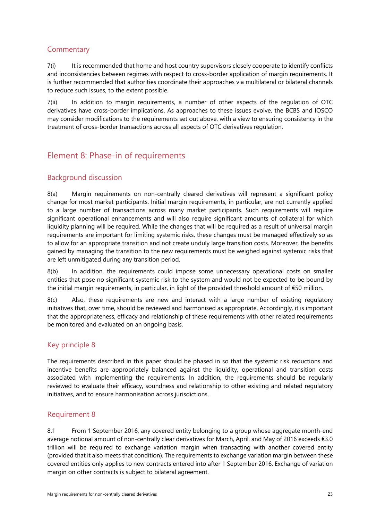#### **Commentary**

7(i) It is recommended that home and host country supervisors closely cooperate to identify conflicts and inconsistencies between regimes with respect to cross-border application of margin requirements. It is further recommended that authorities coordinate their approaches via multilateral or bilateral channels to reduce such issues, to the extent possible.

7(ii) In addition to margin requirements, a number of other aspects of the requlation of OTC derivatives have cross-border implications. As approaches to these issues evolve, the BCBS and IOSCO may consider modifications to the requirements set out above, with a view to ensuring consistency in the treatment of cross-border transactions across all aspects of OTC derivatives regulation.

# <span id="page-26-0"></span>Element 8: Phase-in of requirements

#### Background discussion

8(a) Margin requirements on non-centrally cleared derivatives will represent a significant policy change for most market participants. Initial margin requirements, in particular, are not currently applied to a large number of transactions across many market participants. Such requirements will require significant operational enhancements and will also require significant amounts of collateral for which liquidity planning will be required. While the changes that will be required as a result of universal margin requirements are important for limiting systemic risks, these changes must be managed effectively so as to allow for an appropriate transition and not create unduly large transition costs. Moreover, the benefits gained by managing the transition to the new requirements must be weighed against systemic risks that are left unmitigated during any transition period.

8(b) In addition, the requirements could impose some unnecessary operational costs on smaller entities that pose no significant systemic risk to the system and would not be expected to be bound by the initial margin requirements, in particular, in light of the provided threshold amount of €50 million.

8(c) Also, these requirements are new and interact with a large number of existing regulatory initiatives that, over time, should be reviewed and harmonised as appropriate. Accordingly, it is important that the appropriateness, efficacy and relationship of these requirements with other related requirements be monitored and evaluated on an ongoing basis.

#### Key principle 8

The requirements described in this paper should be phased in so that the systemic risk reductions and incentive benefits are appropriately balanced against the liquidity, operational and transition costs associated with implementing the requirements. In addition, the requirements should be regularly reviewed to evaluate their efficacy, soundness and relationship to other existing and related regulatory initiatives, and to ensure harmonisation across jurisdictions.

#### Requirement 8

8.1 From 1 September 2016, any covered entity belonging to a group whose aggregate month-end average notional amount of non-centrally clear derivatives for March, April, and May of 2016 exceeds €3.0 trillion will be required to exchange variation margin when transacting with another covered entity (provided that it also meets that condition). The requirements to exchange variation margin between these covered entities only applies to new contracts entered into after 1 September 2016. Exchange of variation margin on other contracts is subject to bilateral agreement.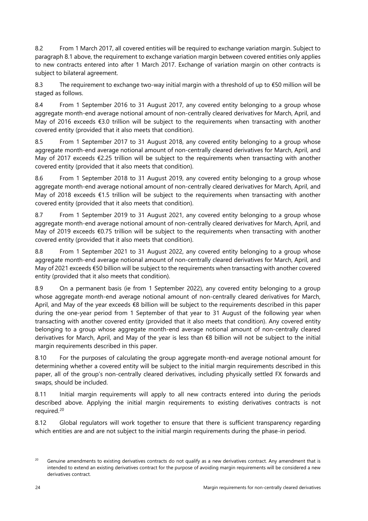8.2 From 1 March 2017, all covered entities will be required to exchange variation margin. Subject to paragraph 8.1 above, the requirement to exchange variation margin between covered entities only applies to new contracts entered into after 1 March 2017. Exchange of variation margin on other contracts is subject to bilateral agreement.

8.3 The requirement to exchange two-way initial margin with a threshold of up to €50 million will be staged as follows.

8.4 From 1 September 2016 to 31 August 2017, any covered entity belonging to a group whose aggregate month-end average notional amount of non-centrally cleared derivatives for March, April, and May of 2016 exceeds €3.0 trillion will be subject to the requirements when transacting with another covered entity (provided that it also meets that condition).

8.5 From 1 September 2017 to 31 August 2018, any covered entity belonging to a group whose aggregate month-end average notional amount of non-centrally cleared derivatives for March, April, and May of 2017 exceeds €2.25 trillion will be subject to the requirements when transacting with another covered entity (provided that it also meets that condition).

8.6 From 1 September 2018 to 31 August 2019, any covered entity belonging to a group whose aggregate month-end average notional amount of non-centrally cleared derivatives for March, April, and May of 2018 exceeds €1.5 trillion will be subject to the requirements when transacting with another covered entity (provided that it also meets that condition).

8.7 From 1 September 2019 to 31 August 2021, any covered entity belonging to a group whose aggregate month-end average notional amount of non-centrally cleared derivatives for March, April, and May of 2019 exceeds €0.75 trillion will be subject to the requirements when transacting with another covered entity (provided that it also meets that condition).

8.8 From 1 September 2021 to 31 August 2022, any covered entity belonging to a group whose aggregate month-end average notional amount of non-centrally cleared derivatives for March, April, and May of 2021 exceeds €50 billion will be subject to the requirements when transacting with another covered entity (provided that it also meets that condition).

8.9 On a permanent basis (ie from 1 September 2022), any covered entity belonging to a group whose aggregate month-end average notional amount of non-centrally cleared derivatives for March, April, and May of the year exceeds €8 billion will be subject to the requirements described in this paper during the one-year period from 1 September of that year to 31 August of the following year when transacting with another covered entity (provided that it also meets that condition). Any covered entity belonging to a group whose aggregate month-end average notional amount of non-centrally cleared derivatives for March, April, and May of the year is less than €8 billion will not be subject to the initial margin requirements described in this paper.

8.10 For the purposes of calculating the group aggregate month-end average notional amount for determining whether a covered entity will be subject to the initial margin requirements described in this paper, all of the group's non-centrally cleared derivatives, including physically settled FX forwards and swaps, should be included.

8.11 Initial margin requirements will apply to all new contracts entered into during the periods described above. Applying the initial margin requirements to existing derivatives contracts is not required.[20](#page-27-0)

8.12 Global regulators will work together to ensure that there is sufficient transparency regarding which entities are and are not subject to the initial margin requirements during the phase-in period.

<span id="page-27-0"></span><sup>&</sup>lt;sup>20</sup> Genuine amendments to existing derivatives contracts do not qualify as a new derivatives contract. Any amendment that is intended to extend an existing derivatives contract for the purpose of avoiding margin requirements will be considered a new derivatives contract.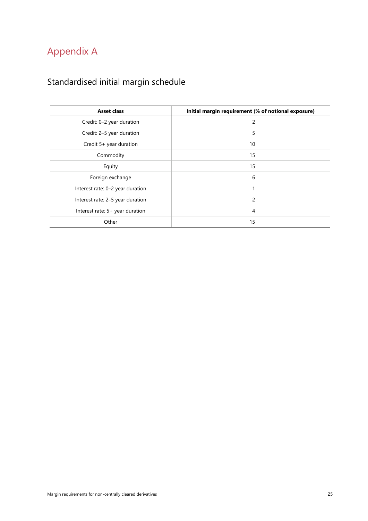# <span id="page-28-0"></span>Appendix A

# <span id="page-28-1"></span>Standardised initial margin schedule

| <b>Asset class</b>               | Initial margin requirement (% of notional exposure) |
|----------------------------------|-----------------------------------------------------|
| Credit: 0-2 year duration        | 2                                                   |
| Credit: 2-5 year duration        | 5                                                   |
| Credit 5+ year duration          | 10                                                  |
| Commodity                        | 15                                                  |
| Equity                           | 15                                                  |
| Foreign exchange                 | 6                                                   |
| Interest rate: 0-2 year duration | 1                                                   |
| Interest rate: 2-5 year duration | 2                                                   |
| Interest rate: 5+ year duration  | 4                                                   |
| Other                            | 15                                                  |